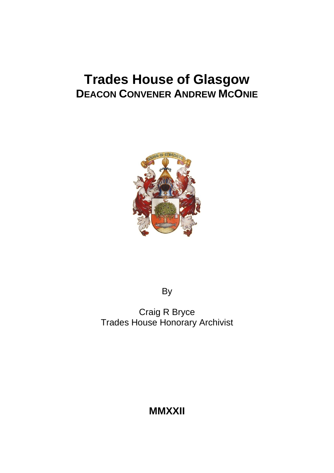## **Trades House of Glasgow DEACON CONVENER ANDREW MCONIE**



By

Craig R Bryce Trades House Honorary Archivist

**MMXXII**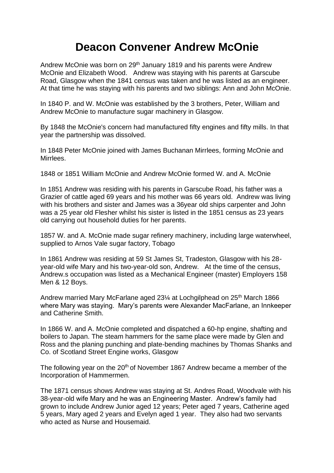## **Deacon Convener Andrew McOnie**

Andrew McOnie was born on 29th January 1819 and his parents were Andrew McOnie and Elizabeth Wood. Andrew was staying with his parents at Garscube Road, Glasgow when the 1841 census was taken and he was listed as an engineer. At that time he was staying with his parents and two siblings: Ann and John McOnie.

In 1840 P. and W. McOnie was established by the 3 brothers, Peter, William and Andrew McOnie to manufacture sugar machinery in Glasgow.

By 1848 the McOnie's concern had manufactured fifty engines and fifty mills. In that year the partnership was dissolved.

In 1848 Peter McOnie joined with James Buchanan Mirrlees, forming McOnie and Mirrlees.

1848 or 1851 William McOnie and Andrew McOnie formed W. and A. McOnie

In 1851 Andrew was residing with his parents in Garscube Road, his father was a Grazier of cattle aged 69 years and his mother was 66 years old. Andrew was living with his brothers and sister and James was a 36year old ships carpenter and John was a 25 year old Flesher whilst his sister is listed in the 1851 census as 23 years old carrying out household duties for her parents.

1857 W. and A. McOnie made sugar refinery machinery, including large waterwheel, supplied to Arnos Vale sugar factory, Tobago

In 1861 Andrew was residing at 59 St James St, Tradeston, Glasgow with his 28 year-old wife Mary and his two-year-old son, Andrew. At the time of the census, Andrew.s occupation was listed as a Mechanical Engineer (master) Employers 158 Men & 12 Boys.

Andrew married Mary McFarlane aged 231⁄4 at Lochgilphead on 25<sup>th</sup> March 1866 where Mary was staying. Mary's parents were Alexander MacFarlane, an Innkeeper and Catherine Smith.

In 1866 W. and A. McOnie completed and dispatched a 60-hp engine, shafting and boilers to Japan. The steam hammers for the same place were made by Glen and Ross and the planing punching and plate-bending machines by Thomas Shanks and Co. of Scotland Street Engine works, Glasgow

The following year on the 20<sup>th</sup> of November 1867 Andrew became a member of the Incorporation of Hammermen.

The 1871 census shows Andrew was staying at St. Andres Road, Woodvale with his 38-year-old wife Mary and he was an Engineering Master. Andrew's family had grown to include Andrew Junior aged 12 years; Peter aged 7 years, Catherine aged 5 years, Mary aged 2 years and Evelyn aged 1 year. They also had two servants who acted as Nurse and Housemaid.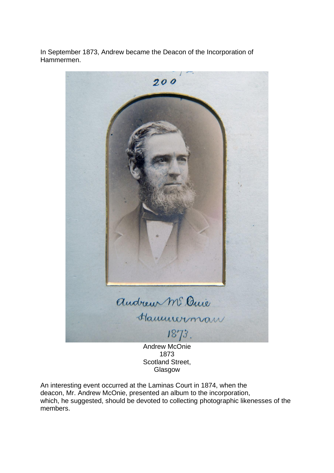In September 1873, Andrew became the Deacon of the Incorporation of Hammermen.



Andrew McOnie 1873 Scotland Street, Glasgow

An interesting event occurred at the Laminas Court in 1874, when the deacon, Mr. Andrew McOnie, presented an album to the incorporation, which, he suggested, should be devoted to collecting photographic likenesses of the members.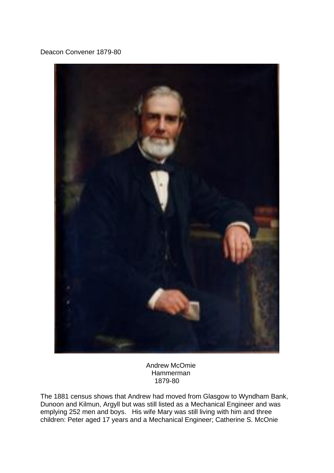## Deacon Convener 1879-80



Andrew McOmie Hammerman 1879-80

The 1881 census shows that Andrew had moved from Glasgow to Wyndham Bank, Dunoon and Kilmun, Argyll but was still listed as a Mechanical Engineer and was emplying 252 men and boys. His wife Mary was still living with him and three children: Peter aged 17 years and a Mechanical Engineer; Catherine S. McOnie